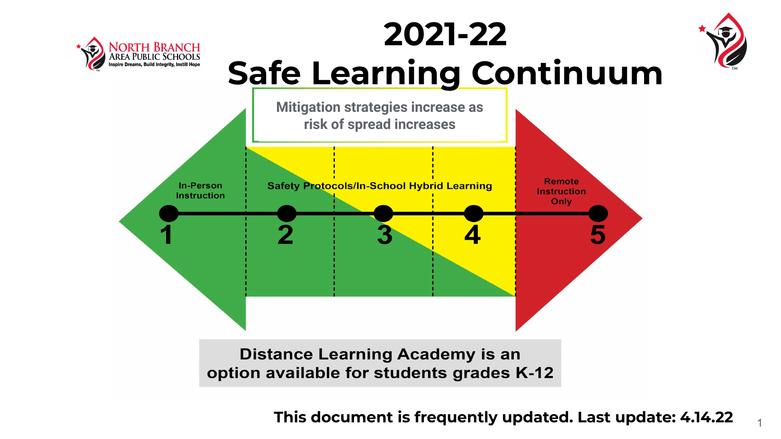



1



**2021-22**

**Distance Learning Academy is an** option available for students grades K-12

**This document is frequently updated. Last update: 4.14.22**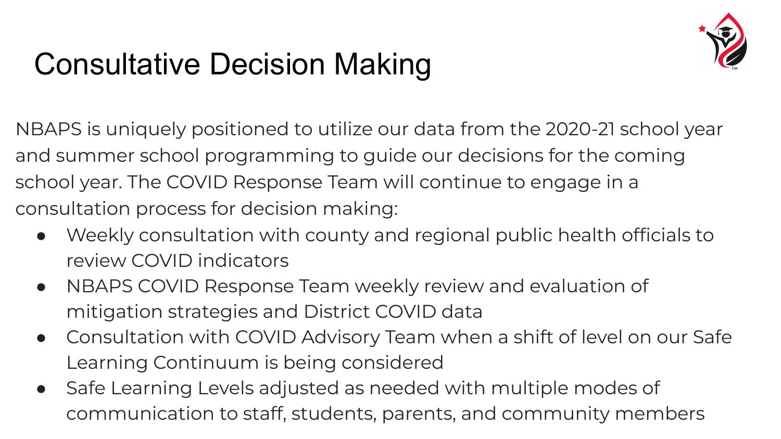

# Consultative Decision Making

NBAPS is uniquely positioned to utilize our data from the 2020-21 school year and summer school programming to guide our decisions for the coming school year. The COVID Response Team will continue to engage in a consultation process for decision making:

- Weekly consultation with county and regional public health officials to review COVID indicators
- NBAPS COVID Response Team weekly review and evaluation of mitigation strategies and District COVID data
- Consultation with COVID Advisory Team when a shift of level on our Safe Learning Continuum is being considered
- Safe Learning Levels adjusted as needed with multiple modes of communication to staff, students, parents, and community members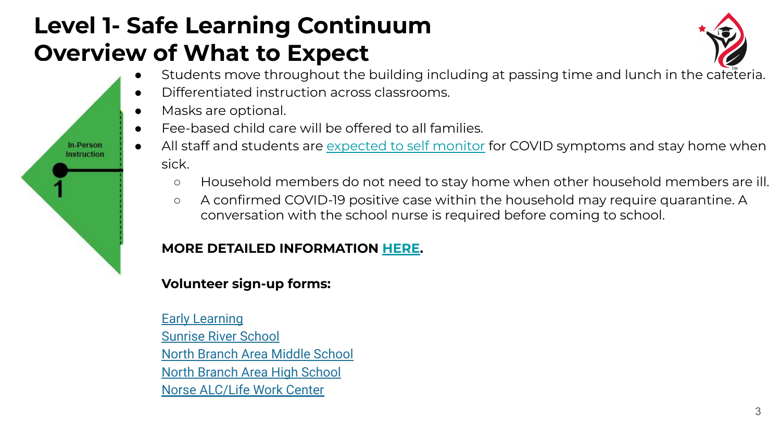## **Level 1- Safe Learning Continuum Overview of What to Expect**



- Students move throughout the building including at passing time and lunch in the cafeteria.
- Differentiated instruction across classrooms.
- Masks are optional.

In-Person **Instruction** 

- Fee-based child care will be offered to all families.
- All staff and students are [expected to self monitor](https://www.cdc.gov/coronavirus/2019-ncov/symptoms-testing/symptoms.html) for COVID symptoms and stay home when sick.
	- Household members do not need to stay home when other household members are ill.
	- A confirmed COVID-19 positive case within the household may require quarantine. A conversation with the school nurse is required before coming to school.

#### **MORE DETAILED INFORMATION [HERE](https://docs.google.com/presentation/d/1Uu2FDBq_kb4bB7ahQCR_0Yg0Kg5dR1fVU6r6jfQSSYU/edit?usp=sharing).**

#### **Volunteer sign-up forms:**

**[Early Learning](https://docs.google.com/forms/d/e/1FAIpQLSeJzEVsxLwOZOMDTjXBiJ-CaX12iyEPfGANsxRYO4TFIKei7g/viewform?usp=sf_link)** [Sunrise River School](https://docs.google.com/forms/d/e/1FAIpQLSfhL2m3dd8vhsNBA2xtzuqvOZP1CMlqM4Pd3UQdl6sCXZN6Pw/viewform) [North Branch Area Middle School](https://docs.google.com/forms/d/e/1FAIpQLScY8wSxJf0MkSAImVRyTwaL7YALGAUP_CouCX7k9F9azCumWA/viewform?usp=sf_link) [North Branch Area High School](https://docs.google.com/forms/d/e/1FAIpQLSc8MI1Po3Fh8oQ7wcZrMCsCcWNbzukFOQdvZyoVJHT5dRwn7w/viewform?usp=sf_link) [Norse ALC/Life Work Center](https://docs.google.com/forms/d/e/1FAIpQLSc8MI1Po3Fh8oQ7wcZrMCsCcWNbzukFOQdvZyoVJHT5dRwn7w/viewform?usp=sf_link)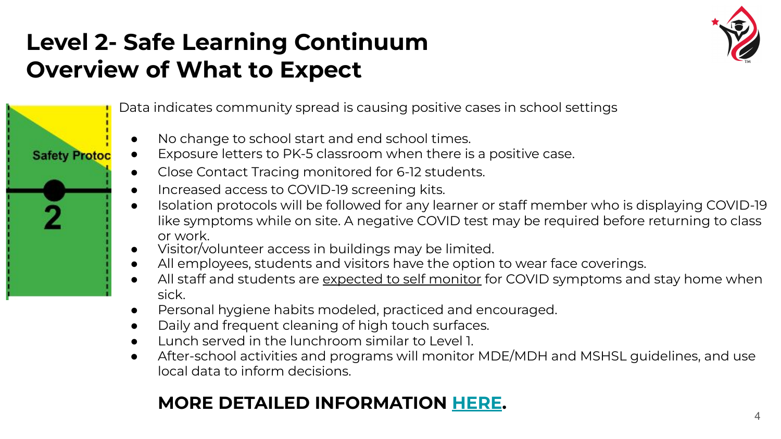## **Level 2- Safe Learning Continuum Overview of What to Expect**

**Safety Protoc** 



Data indicates community spread is causing positive cases in school settings

- No change to school start and end school times.
- Exposure letters to PK-5 classroom when there is a positive case.
	- Close Contact Tracing monitored for 6-12 students.
	- Increased access to COVID-19 screening kits.
	- Isolation protocols will be followed for any learner or staff member who is displaying COVID-19 like symptoms while on site. A negative COVID test may be required before returning to class or work.
	- Visitor/volunteer access in buildings may be limited.
	- All employees, students and visitors have the option to wear face coverings.
	- All staff and students are [expected to self monitor](https://www.cdc.gov/coronavirus/2019-ncov/symptoms-testing/symptoms.html) for COVID symptoms and stay home when sick.
	- Personal hygiene habits modeled, practiced and encouraged.
	- Daily and frequent cleaning of high touch surfaces.
	- Lunch served in the lunchroom similar to Level 1.
	- After-school activities and programs will monitor MDE/MDH and MSHSL guidelines, and use local data to inform decisions.

#### **MORE DETAILED INFORMATION [HERE.](https://docs.google.com/presentation/d/1hVmnJM6VxgaUKNd09PsOFYphOXpjkBCBGaFd2XlM23I/edit?usp=sharing)**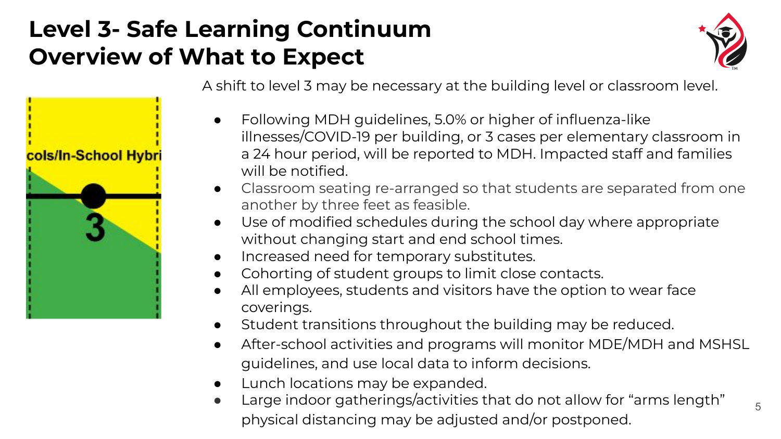### **Level 3- Safe Learning Continuum Overview of What to Expect**

cols/In-School Hybr



5

A shift to level 3 may be necessary at the building level or classroom level.

- Following MDH guidelines, 5.0% or higher of influenza-like illnesses/COVID-19 per building, or 3 cases per elementary classroom in a 24 hour period, will be reported to MDH. Impacted staff and families will be notified.
- Classroom seating re-arranged so that students are separated from one another by three feet as feasible.
- Use of modified schedules during the school day where appropriate without changing start and end school times.
- Increased need for temporary substitutes.
- Cohorting of student groups to limit close contacts.
- All employees, students and visitors have the option to wear face coverings.
- Student transitions throughout the building may be reduced.
- After-school activities and programs will monitor MDE/MDH and MSHSL guidelines, and use local data to inform decisions.
- Lunch locations may be expanded.
- Large indoor gatherings/activities that do not allow for "arms length" physical distancing may be adjusted and/or postponed.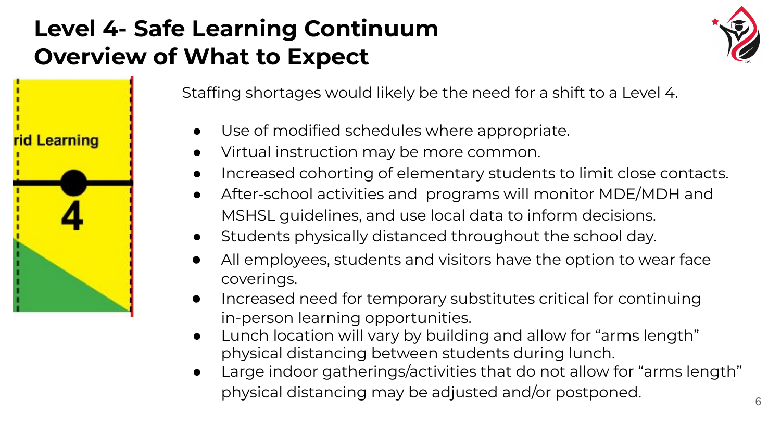## **Level 4- Safe Learning Continuum Overview of What to Expect**

**Learning** 



Staffing shortages would likely be the need for a shift to a Level 4.

- Use of modified schedules where appropriate.
- Virtual instruction may be more common.
- Increased cohorting of elementary students to limit close contacts.
- After-school activities and programs will monitor MDE/MDH and MSHSL guidelines, and use local data to inform decisions.
- Students physically distanced throughout the school day.
- All employees, students and visitors have the option to wear face coverings.
- Increased need for temporary substitutes critical for continuing in-person learning opportunities.
- Lunch location will vary by building and allow for "arms length" physical distancing between students during lunch.
- Large indoor gatherings/activities that do not allow for "arms length" physical distancing may be adjusted and/or postponed.  $\overline{\phantom{a}}_{6}$